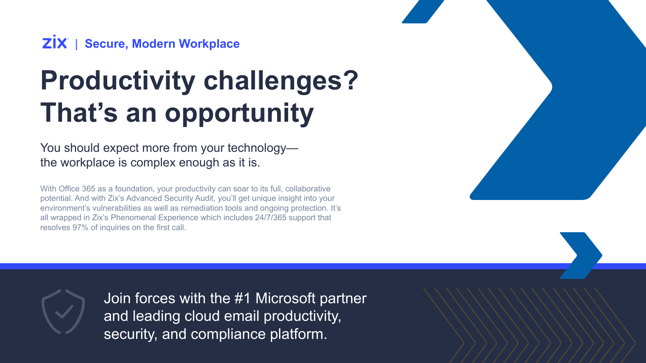### **ZİX** | Secure, Modern Workplace

# **Productivity challenges? That's an opportunity**

You should expect more from your technology the workplace is complex enough as it is.

With Office 365 as a foundation, your productivity can soar to its full, collaborative potential. And with Zix's Advanced Security Audit, you'll get unique insight into your environment's vulnerabilities as well as remediation tools and ongoing protection. It's all wrapped in Zix's Phenomenal Experience which includes 24/7/365 support that resolves 97% of inquiries on the first call.





Join forces with the #1 Microsoft partner and leading cloud email productivity, security, and compliance platform.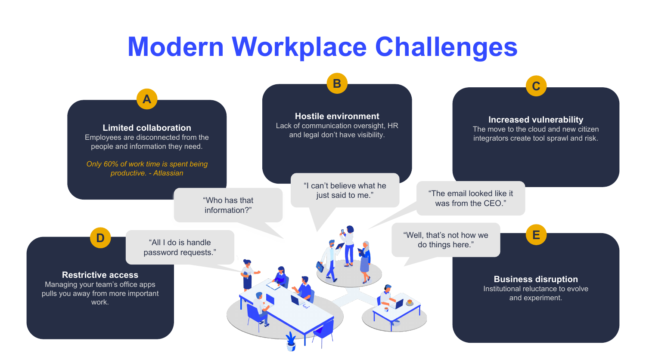### **Modern Workplace Challenges**

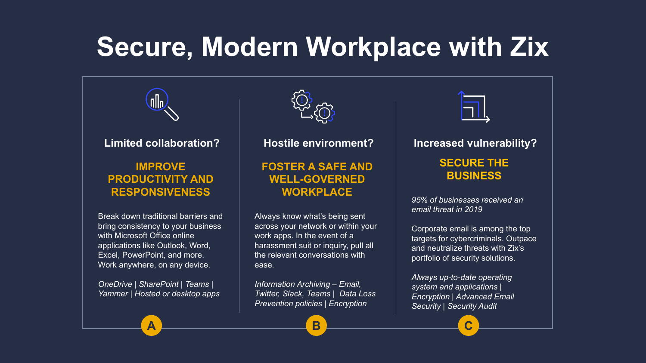## **Secure, Modern Workplace with Zix**



#### **Limited collaboration?**

### **IMPROVE PRODUCTIVITY AND RESPONSIVENESS**

Break down traditional barriers and bring consistency to your business with Microsoft Office online applications like Outlook, Word, Excel, PowerPoint, and more. Work anywhere, on any device.

*OneDrive | SharePoint | Teams | Yammer | Hosted or desktop apps*



**Hostile environment?**

### **FOSTER A SAFE AND WELL-GOVERNED WORKPLACE**

Always know what's being sent across your network or within your work apps. In the event of a harassment suit or inquiry, pull all the relevant conversations with ease.

*Information Archiving – Email, Twitter, Slack, Teams | Data Loss Prevention policies | Encryption*



**Increased vulnerability?**

### **SECURE THE BUSINESS**

*95% of businesses received an email threat in 2019*

Corporate email is among the top targets for cybercriminals. Outpace and neutralize threats with Zix's portfolio of security solutions.

*Always up-to-date operating system and applications | Encryption | Advanced Email Security | Security Audit*

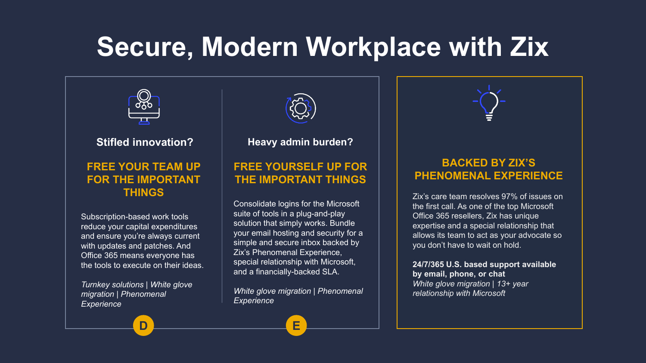## **Secure, Modern Workplace with Zix**



#### **Stifled innovation?**

### **FREE YOUR TEAM UP FOR THE IMPORTANT THINGS**

Subscription-based work tools reduce your capital expenditures and ensure you're always current with updates and patches. And Office 365 means everyone has the tools to execute on their ideas.

*Turnkey solutions | White glove migration | Phenomenal Experience*



**Heavy admin burden?**

### **FREE YOURSELF UP FOR THE IMPORTANT THINGS**

Consolidate logins for the Microsoft suite of tools in a plug-and-play solution that simply works. Bundle your email hosting and security for a simple and secure inbox backed by Zix's Phenomenal Experience, special relationship with Microsoft, and a financially-backed SLA.

*White glove migration | Phenomenal Experience*

**D E**



### **BACKED BY ZIX'S PHENOMENAL EXPERIENCE**

Zix's care team resolves 97% of issues on the first call. As one of the top Microsoft Office 365 resellers, Zix has unique expertise and a special relationship that allows its team to act as your advocate so you don't have to wait on hold.

#### **24/7/365 U.S. based support available by email, phone, or chat** *White glove migration | 13+ year relationship with Microsoft*